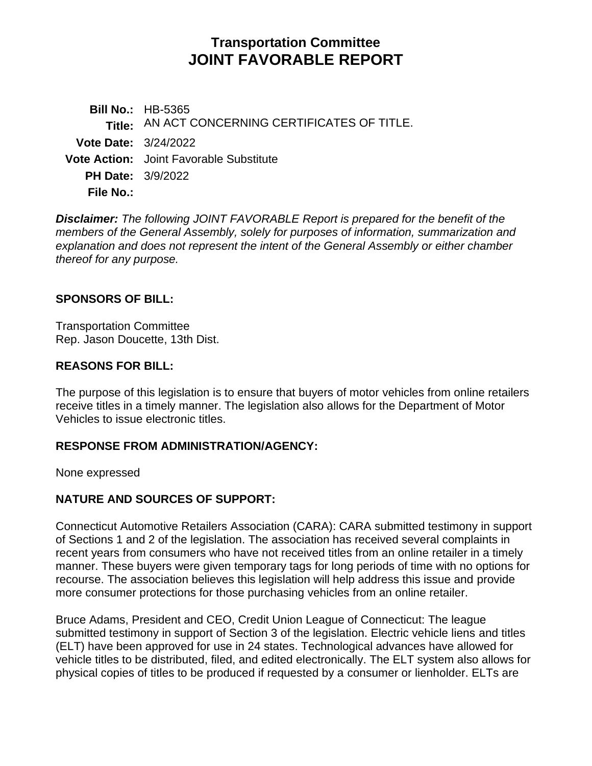# **Transportation Committee JOINT FAVORABLE REPORT**

**Bill No.:** HB-5365 **Title:** AN ACT CONCERNING CERTIFICATES OF TITLE. **Vote Date:** 3/24/2022 **Vote Action:** Joint Favorable Substitute **PH Date:** 3/9/2022 **File No.:**

*Disclaimer: The following JOINT FAVORABLE Report is prepared for the benefit of the members of the General Assembly, solely for purposes of information, summarization and explanation and does not represent the intent of the General Assembly or either chamber thereof for any purpose.*

#### **SPONSORS OF BILL:**

Transportation Committee Rep. Jason Doucette, 13th Dist.

#### **REASONS FOR BILL:**

The purpose of this legislation is to ensure that buyers of motor vehicles from online retailers receive titles in a timely manner. The legislation also allows for the Department of Motor Vehicles to issue electronic titles.

## **RESPONSE FROM ADMINISTRATION/AGENCY:**

None expressed

## **NATURE AND SOURCES OF SUPPORT:**

Connecticut Automotive Retailers Association (CARA): CARA submitted testimony in support of Sections 1 and 2 of the legislation. The association has received several complaints in recent years from consumers who have not received titles from an online retailer in a timely manner. These buyers were given temporary tags for long periods of time with no options for recourse. The association believes this legislation will help address this issue and provide more consumer protections for those purchasing vehicles from an online retailer.

Bruce Adams, President and CEO, Credit Union League of Connecticut: The league submitted testimony in support of Section 3 of the legislation. Electric vehicle liens and titles (ELT) have been approved for use in 24 states. Technological advances have allowed for vehicle titles to be distributed, filed, and edited electronically. The ELT system also allows for physical copies of titles to be produced if requested by a consumer or lienholder. ELTs are